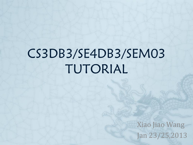# CS3DB3/SE4DB3/SEM03 TUTORIAL

Xiao Jiao Wang Jan 23/25,2013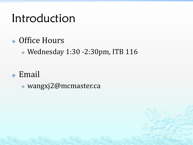#### Introduction

- Office Hours
	- Wednesday 1:30 -2:30pm, ITB 116
- Email
	- wangxj2@mcmaster.ca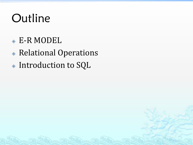## **Outline**

- E-R MODEL
- Relational Operations
- Introduction to SQL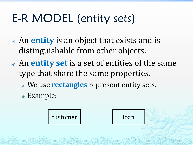# E-R MODEL (entity sets)

- An **entity** is an object that exists and is distinguishable from other objects.
- An **entity set** is a set of entities of the same type that share the same properties.
	- We use **rectangles** represent entity sets.
	- Example:

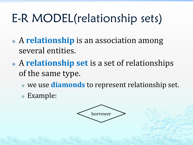# E-R MODEL(relationship sets)

- A **relationship** is an association among several entities.
- A **relationship set** is a set of relationships of the same type.
	- we use **diamonds** to represent relationship set.
	- Example:

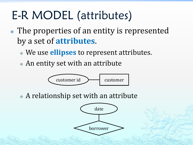### E-R MODEL (attributes)

- The properties of an entity is represented by a set of **attributes**.
	- We use **ellipses** to represent attributes.
	- An entity set with an attribute



A relationship set with an attribute

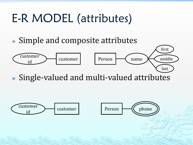### E-R MODEL (attributes)

Simple and composite attributes



Single-valued and multi-valued attributes

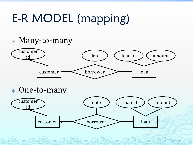# E-R MODEL (mapping)

Many-to-many



One-to-many

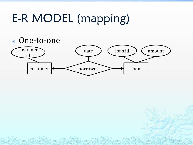## E-R MODEL (mapping)

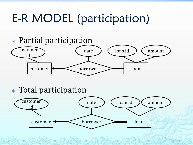## E-R MODEL (participation)



#### Total participation

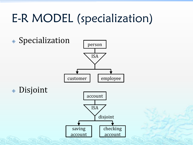## E-R MODEL (specialization)

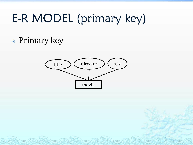# E-R MODEL (primary key)

Primary key

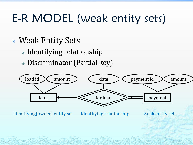# E-R MODEL (weak entity sets)

- Weak Entity Sets
	- Identifying relationship
	- Discriminator (Partial key)

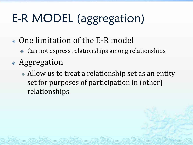# E-R MODEL (aggregation)

- One limitation of the E-R model
	- Can not express relationships among relationships
- Aggregation
	- Allow us to treat a relationship set as an entity set for purposes of participation in (other) relationships.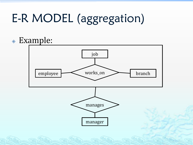# E-R MODEL (aggregation)

#### Example:

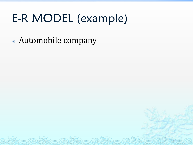## E-R MODEL (example)

Automobile company

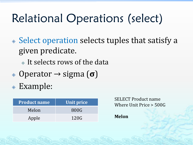#### Relational Operations (select)

- Select operation selects tuples that satisfy a given predicate.
	- It selects rows of the data
- Operator → sigma (**σ**)
- Example:

| <b>Product name</b> | Unit price |
|---------------------|------------|
| Melon               | 800G       |
| Apple               | 120G       |

SELECT Product name Where Unit Price > 500G

**Melon**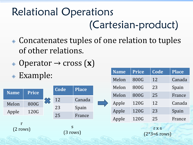#### Relational Operations (Cartesian-product)

- Concatenates tuples of one relation to tuples of other relations.
- Operator → cross (**x**)
- Example:



|  | <b>Name</b> | <b>Price</b> | Code | <b>Place</b> |  |  |  |
|--|-------------|--------------|------|--------------|--|--|--|
|  | Melon       | 800G         | 12   | Canada       |  |  |  |
|  | Melon       | 800G         | 23   | Spain        |  |  |  |
|  | Melon       | 800G         | 25   | France       |  |  |  |
|  | Apple       | 120G         | 12   | Canada       |  |  |  |
|  | Apple       | 120G         | 23   | Spain        |  |  |  |
|  | Apple       | 120G         | 25   | France       |  |  |  |
|  |             |              |      |              |  |  |  |

r x s (2\*3=6 rows)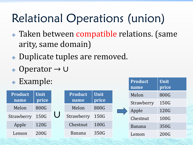### Relational Operations (union)

- Taken between compatible relations. (same arity, same domain)
- Duplicate tuples are removed.
- Operator → ∪
- Example:

| л.             |             |  |                |             |  | name          | price |
|----------------|-------------|--|----------------|-------------|--|---------------|-------|
| <b>Product</b> | <b>Unit</b> |  | <b>Product</b> | <b>Unit</b> |  | Melon         | 800G  |
| name           | price       |  | name           | price       |  | Strawberry    | 150G  |
| Melon          | 800G        |  | Melon          | 800G        |  | Apple         | 120G  |
| Strawberry     | 150G        |  | Strawberry     | 150G        |  | Chestnut      | 100G  |
| Apple          | 120G        |  | Chestnut       | 100G        |  | <b>Banana</b> | 350G  |
| Lemon          | 200G        |  | Banana         | 350G        |  | Lemon         | 200G  |

**Product**

**Unit**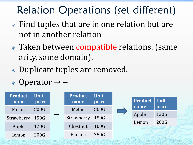#### Relation Operations (set different)

- Find tuples that are in one relation but are not in another relation
- Taken between compatible relations. (same arity, same domain).
- Duplicate tuples are removed.

$$
\text{\textdegree Operator} \rightarrow -
$$

| <b>Product</b><br>name | <b>Unit</b><br>price | <b>Product</b><br>name | <b>Unit</b><br>price | Product | <b>Unit</b> |
|------------------------|----------------------|------------------------|----------------------|---------|-------------|
| Melon                  | 800G                 | Melon                  | 800G                 | name    | price       |
|                        |                      |                        |                      | Apple   | 120G        |
| Strawberry             | 150G                 | Strawberry             | 150G                 | Lemon   | 200G        |
| Apple                  | 120G                 | Chestnut               | 100G                 |         |             |
| Lemon                  | 200G                 | Banana                 | 350G                 |         |             |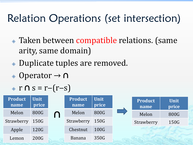#### Relation Operations (set intersection)

- Taken between compatible relations. (same arity, same domain)
- Duplicate tuples are removed.
- Operator → **∩**

$$
\bullet \ \ r \ \cap \ s = r - (r - s)
$$

| <b>Product</b><br>name | <b>Unit</b><br>price |                                | <b>Product</b><br>name | <b>Unit</b><br>price | <b>Product</b><br>name | <b>Unit</b><br>price |
|------------------------|----------------------|--------------------------------|------------------------|----------------------|------------------------|----------------------|
| Melon                  | 800G                 | $\boldsymbol{\mathsf{\Omega}}$ | Melon                  | 800G                 | Melon                  | 800G                 |
| Strawberry             | 150G                 |                                | Strawberry             | 150G                 | Strawberry             | 150G                 |
| Apple                  | 120G                 |                                | Chestnut               | 100G                 |                        |                      |
| Lemon                  | 200G                 |                                | Banana                 | 350G                 |                        |                      |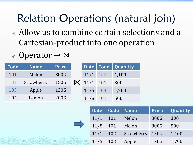#### Relation Operations (natural join)

- Allow us to combine certain selections and a Cartesian-product into one operation
- Operator → ⋈

| Code | <b>Name</b> | <b>Price</b> |                    |             | Date   Code   Quantity |
|------|-------------|--------------|--------------------|-------------|------------------------|
| 101  | Melon       | 800G         | $11/1$ 102         |             | 1,100                  |
| 102  | Strawberry  | 150G         | $\bowtie$ 11/1 101 |             | 300                    |
| 103  | Apple       | 120G         | $11/5$ 103         |             | 1,700                  |
| 104  | Lemon       | 200G         | 11/8               | $\vert$ 101 | 500                    |

| <b>Date</b> | Code   Name |            | <b>Price</b> | Quantity |
|-------------|-------------|------------|--------------|----------|
| 11/1        | 101         | Melon      | 800G         | 300      |
| 11/8        | 101         | Melon      | 800G         | 500      |
| 11/1        | 102         | Strawberry | 150G         | 1,100    |
| 11/5        | 103         | Apple      | 120G         | 1,700    |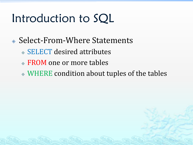#### Introduction to SQL

- Select-From-Where Statements
	- SELECT desired attributes
	- FROM one or more tables
	- WHERE condition about tuples of the tables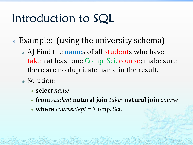#### Introduction to SQL

- Example: (using the university schema)
	- A) Find the names of all students who have taken at least one Comp. Sci. course; make sure there are no duplicate name in the result.
	- Solution:
		- **select** *name*
		- **from** *student* **natural join** *takes* **natural join** *course*
		- **where** *course.dept* = 'Comp. Sci.'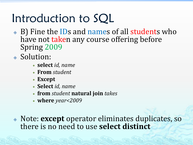#### Introduction to SQL

- B) Fine the IDs and names of all students who have not taken any course offering before Spring 2009
- ◈ Solution:
	- **select** *id, name*
	- **From** *student*
	- **Except**
	- **Select** *id, name*
	- **from** *student* **natural join** *takes*
	- **where** *year<2009*

 Note: **except** operator eliminates duplicates, so there is no need to use **select distinct**